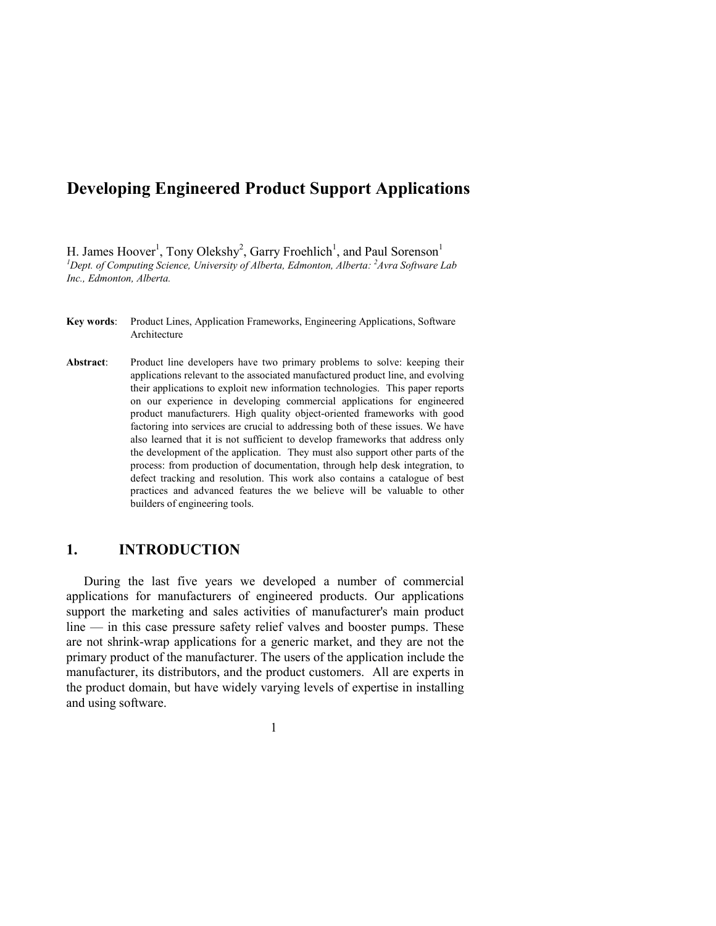# **Developing Engineered Product Support Applications**

H. James Hoover<sup>1</sup>, Tony Olekshy<sup>2</sup>, Garry Froehlich<sup>1</sup>, and Paul Sorenson<sup>1</sup> <sup>1</sup>Dept. of Computing Science, University of Alberta, Edmonton, Alberta: <sup>2</sup>Avra Software Lab *Inc., Edmonton, Alberta.*

- **Key words**: Product Lines, Application Frameworks, Engineering Applications, Software Architecture
- **Abstract**: Product line developers have two primary problems to solve: keeping their applications relevant to the associated manufactured product line, and evolving their applications to exploit new information technologies. This paper reports on our experience in developing commercial applications for engineered product manufacturers. High quality object-oriented frameworks with good factoring into services are crucial to addressing both of these issues. We have also learned that it is not sufficient to develop frameworks that address only the development of the application. They must also support other parts of the process: from production of documentation, through help desk integration, to defect tracking and resolution. This work also contains a catalogue of best practices and advanced features the we believe will be valuable to other builders of engineering tools.

## **1. INTRODUCTION**

During the last five years we developed a number of commercial applications for manufacturers of engineered products. Our applications support the marketing and sales activities of manufacturer's main product line — in this case pressure safety relief valves and booster pumps. These are not shrink-wrap applications for a generic market, and they are not the primary product of the manufacturer. The users of the application include the manufacturer, its distributors, and the product customers. All are experts in the product domain, but have widely varying levels of expertise in installing and using software.

1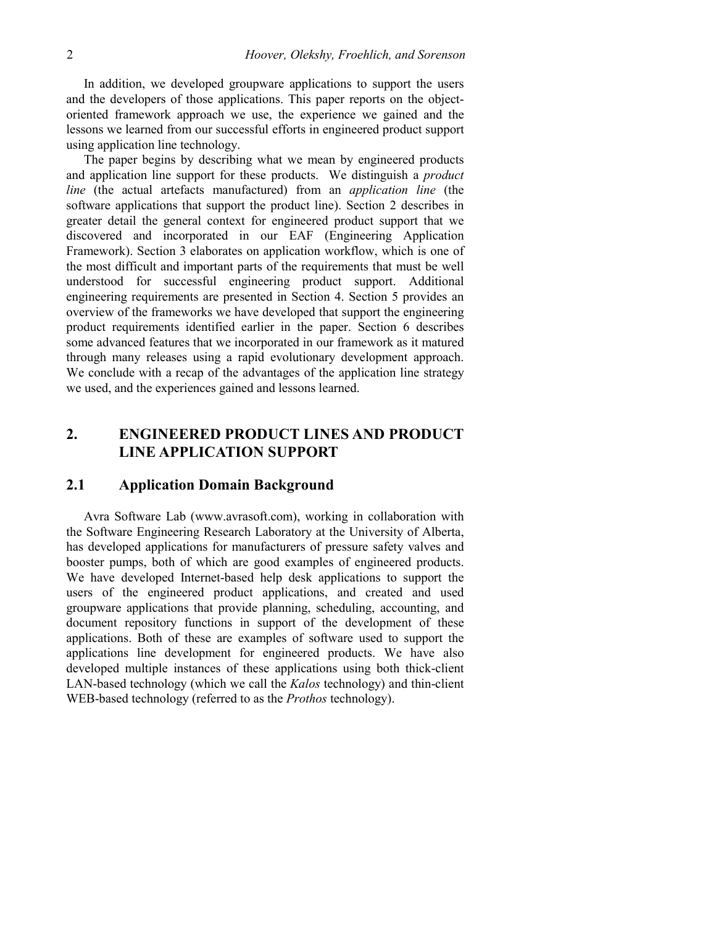In addition, we developed groupware applications to support the users and the developers of those applications. This paper reports on the objectoriented framework approach we use, the experience we gained and the lessons we learned from our successful efforts in engineered product support using application line technology.

The paper begins by describing what we mean by engineered products and application line support for these products. We distinguish a *product line* (the actual artefacts manufactured) from an *application line* (the software applications that support the product line). Section 2 describes in greater detail the general context for engineered product support that we discovered and incorporated in our EAF (Engineering Application Framework). Section 3 elaborates on application workflow, which is one of the most difficult and important parts of the requirements that must be well understood for successful engineering product support. Additional engineering requirements are presented in Section 4. Section 5 provides an overview of the frameworks we have developed that support the engineering product requirements identified earlier in the paper. Section 6 describes some advanced features that we incorporated in our framework as it matured through many releases using a rapid evolutionary development approach. We conclude with a recap of the advantages of the application line strategy we used, and the experiences gained and lessons learned.

## **2. ENGINEERED PRODUCT LINES AND PRODUCT LINE APPLICATION SUPPORT**

## **2.1 Application Domain Background**

Avra Software Lab (www.avrasoft.com), working in collaboration with the Software Engineering Research Laboratory at the University of Alberta, has developed applications for manufacturers of pressure safety valves and booster pumps, both of which are good examples of engineered products. We have developed Internet-based help desk applications to support the users of the engineered product applications, and created and used groupware applications that provide planning, scheduling, accounting, and document repository functions in support of the development of these applications. Both of these are examples of software used to support the applications line development for engineered products. We have also developed multiple instances of these applications using both thick-client LAN-based technology (which we call the *Kalos* technology) and thin-client WEB-based technology (referred to as the *Prothos* technology).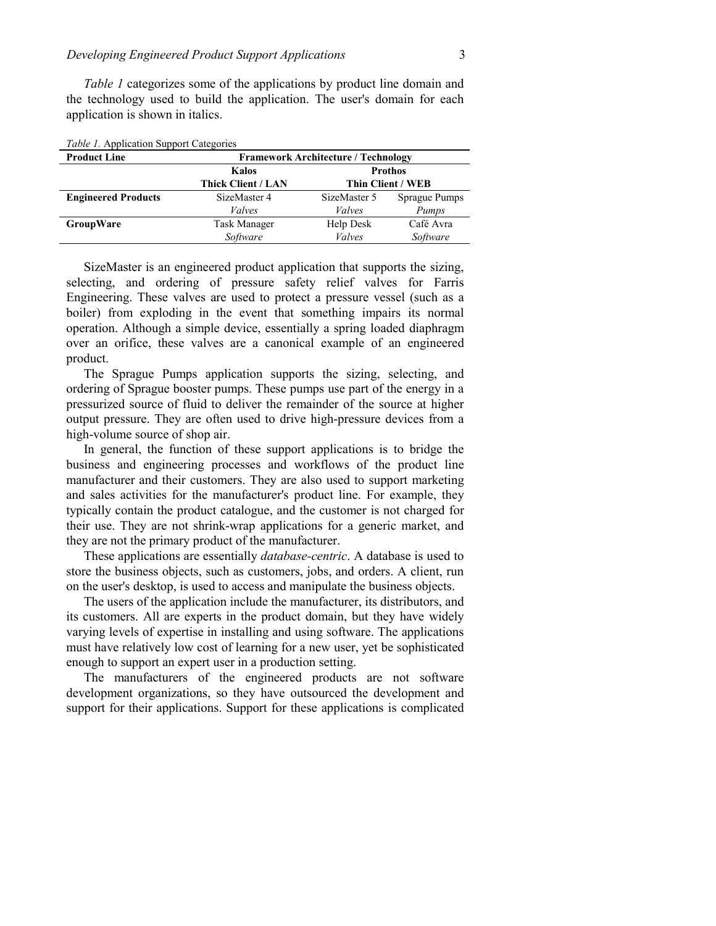*Table 1* categorizes some of the applications by product line domain and the technology used to build the application. The user's domain for each application is shown in italics.

| <i>Table 1.</i> Application Support Categories |                                            |                               |                                     |  |
|------------------------------------------------|--------------------------------------------|-------------------------------|-------------------------------------|--|
| <b>Product Line</b>                            | <b>Framework Architecture / Technology</b> |                               |                                     |  |
|                                                | Kalos<br><b>Thick Client / LAN</b>         |                               | <b>Prothos</b><br>Thin Client / WEB |  |
| <b>Engineered Products</b>                     | SizeMaster 4<br>Valves                     | SizeMaster 5<br><i>Valves</i> | Sprague Pumps<br>Pumps              |  |
| GroupWare                                      | Task Manager<br>Software                   | Help Desk<br>Valves           | Café Avra<br>Software               |  |

SizeMaster is an engineered product application that supports the sizing, selecting, and ordering of pressure safety relief valves for Farris Engineering. These valves are used to protect a pressure vessel (such as a boiler) from exploding in the event that something impairs its normal operation. Although a simple device, essentially a spring loaded diaphragm over an orifice, these valves are a canonical example of an engineered product.

The Sprague Pumps application supports the sizing, selecting, and ordering of Sprague booster pumps. These pumps use part of the energy in a pressurized source of fluid to deliver the remainder of the source at higher output pressure. They are often used to drive high-pressure devices from a high-volume source of shop air.

In general, the function of these support applications is to bridge the business and engineering processes and workflows of the product line manufacturer and their customers. They are also used to support marketing and sales activities for the manufacturer's product line. For example, they typically contain the product catalogue, and the customer is not charged for their use. They are not shrink-wrap applications for a generic market, and they are not the primary product of the manufacturer.

These applications are essentially *database-centric*. A database is used to store the business objects, such as customers, jobs, and orders. A client, run on the user's desktop, is used to access and manipulate the business objects.

The users of the application include the manufacturer, its distributors, and its customers. All are experts in the product domain, but they have widely varying levels of expertise in installing and using software. The applications must have relatively low cost of learning for a new user, yet be sophisticated enough to support an expert user in a production setting.

The manufacturers of the engineered products are not software development organizations, so they have outsourced the development and support for their applications. Support for these applications is complicated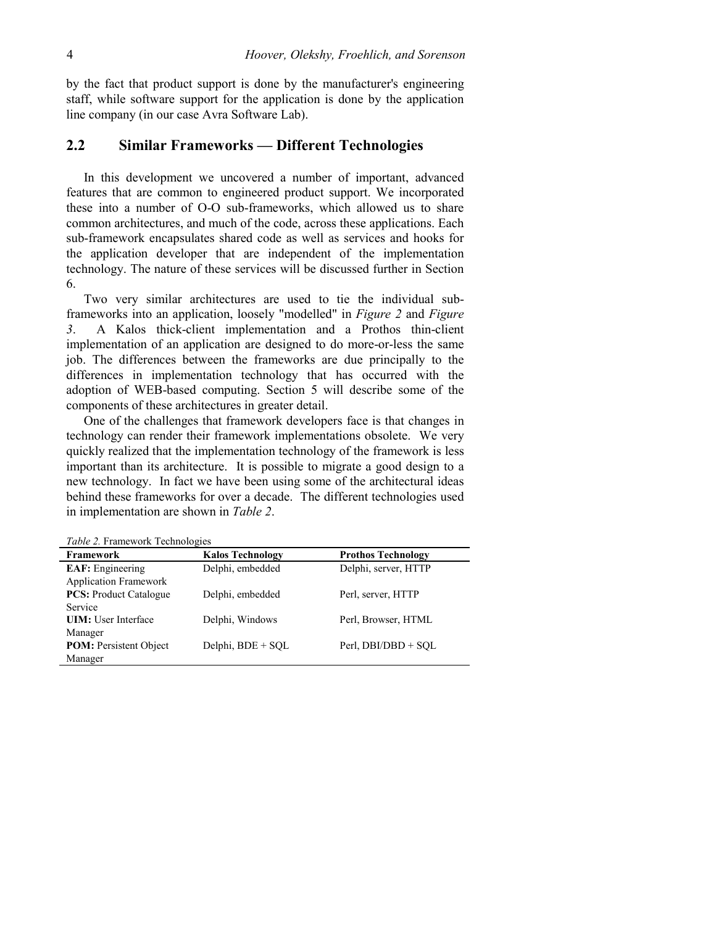by the fact that product support is done by the manufacturer's engineering staff, while software support for the application is done by the application line company (in our case Avra Software Lab).

#### **2.2 Similar Frameworks — Different Technologies**

In this development we uncovered a number of important, advanced features that are common to engineered product support. We incorporated these into a number of O-O sub-frameworks, which allowed us to share common architectures, and much of the code, across these applications. Each sub-framework encapsulates shared code as well as services and hooks for the application developer that are independent of the implementation technology. The nature of these services will be discussed further in Section 6.

Two very similar architectures are used to tie the individual subframeworks into an application, loosely "modelled" in *Figure 2* and *Figure 3*. A Kalos thick-client implementation and a Prothos thin-client implementation of an application are designed to do more-or-less the same job. The differences between the frameworks are due principally to the differences in implementation technology that has occurred with the adoption of WEB-based computing. Section 5 will describe some of the components of these architectures in greater detail.

One of the challenges that framework developers face is that changes in technology can render their framework implementations obsolete. We very quickly realized that the implementation technology of the framework is less important than its architecture. It is possible to migrate a good design to a new technology. In fact we have been using some of the architectural ideas behind these frameworks for over a decade. The different technologies used in implementation are shown in *Table 2*.

*Table 2.* Framework Technologies

| Framework                     | <b>Kalos Technology</b> | <b>Prothos Technology</b> |
|-------------------------------|-------------------------|---------------------------|
| <b>EAF:</b> Engineering       | Delphi, embedded        | Delphi, server, HTTP      |
| <b>Application Framework</b>  |                         |                           |
| <b>PCS:</b> Product Catalogue | Delphi, embedded        | Perl, server, HTTP        |
| Service                       |                         |                           |
| <b>UIM</b> : User Interface   | Delphi, Windows         | Perl, Browser, HTML       |
| Manager                       |                         |                           |
| <b>POM:</b> Persistent Object | Delphi, BDE + SOL       | Perl, $DBI/DBD + SOL$     |
| Manager                       |                         |                           |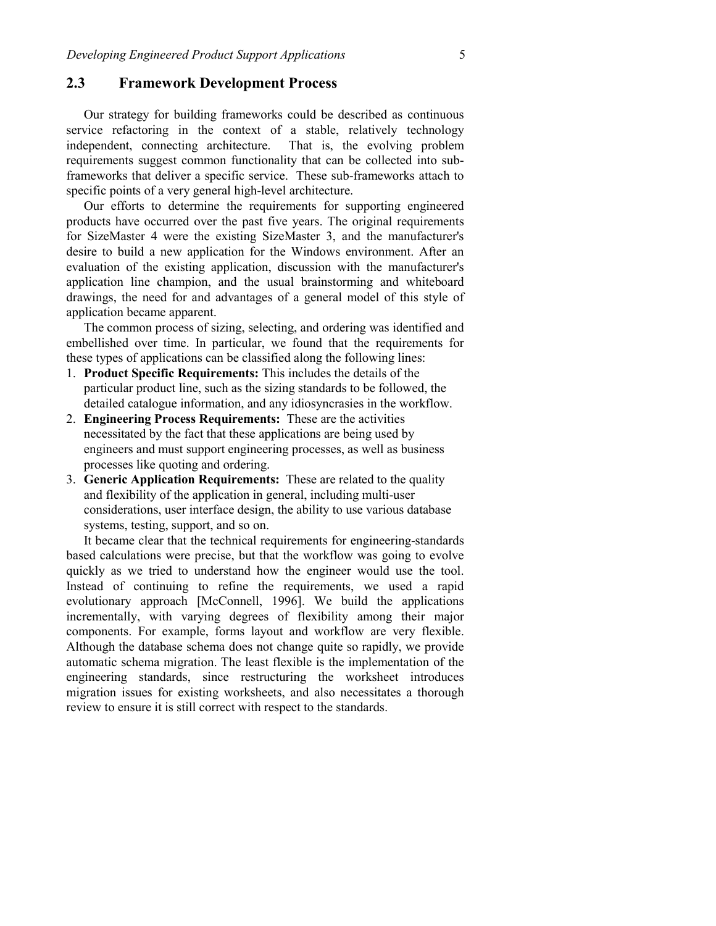#### **2.3 Framework Development Process**

Our strategy for building frameworks could be described as continuous service refactoring in the context of a stable, relatively technology independent, connecting architecture. That is, the evolving problem requirements suggest common functionality that can be collected into subframeworks that deliver a specific service. These sub-frameworks attach to specific points of a very general high-level architecture.

Our efforts to determine the requirements for supporting engineered products have occurred over the past five years. The original requirements for SizeMaster 4 were the existing SizeMaster 3, and the manufacturer's desire to build a new application for the Windows environment. After an evaluation of the existing application, discussion with the manufacturer's application line champion, and the usual brainstorming and whiteboard drawings, the need for and advantages of a general model of this style of application became apparent.

The common process of sizing, selecting, and ordering was identified and embellished over time. In particular, we found that the requirements for these types of applications can be classified along the following lines:

- 1. **Product Specific Requirements:** This includes the details of the particular product line, such as the sizing standards to be followed, the detailed catalogue information, and any idiosyncrasies in the workflow.
- 2. **Engineering Process Requirements:** These are the activities necessitated by the fact that these applications are being used by engineers and must support engineering processes, as well as business processes like quoting and ordering.
- 3. **Generic Application Requirements:** These are related to the quality and flexibility of the application in general, including multi-user considerations, user interface design, the ability to use various database systems, testing, support, and so on.

It became clear that the technical requirements for engineering-standards based calculations were precise, but that the workflow was going to evolve quickly as we tried to understand how the engineer would use the tool. Instead of continuing to refine the requirements, we used a rapid evolutionary approach [McConnell, 1996]. We build the applications incrementally, with varying degrees of flexibility among their major components. For example, forms layout and workflow are very flexible. Although the database schema does not change quite so rapidly, we provide automatic schema migration. The least flexible is the implementation of the engineering standards, since restructuring the worksheet introduces migration issues for existing worksheets, and also necessitates a thorough review to ensure it is still correct with respect to the standards.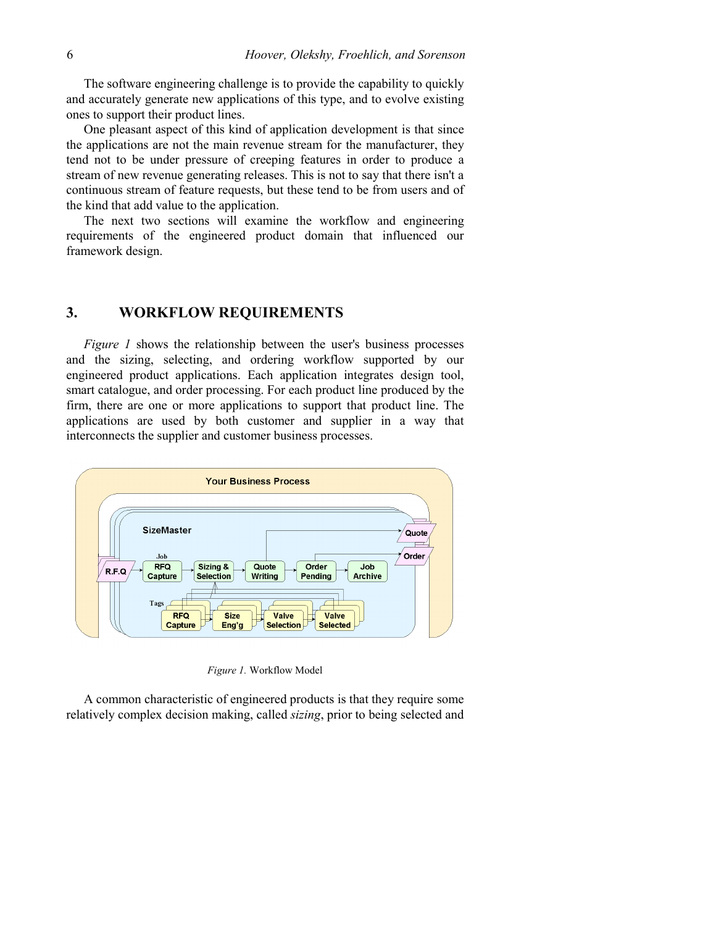The software engineering challenge is to provide the capability to quickly and accurately generate new applications of this type, and to evolve existing ones to support their product lines.

One pleasant aspect of this kind of application development is that since the applications are not the main revenue stream for the manufacturer, they tend not to be under pressure of creeping features in order to produce a stream of new revenue generating releases. This is not to say that there isn't a continuous stream of feature requests, but these tend to be from users and of the kind that add value to the application.

The next two sections will examine the workflow and engineering requirements of the engineered product domain that influenced our framework design.

## **3. WORKFLOW REQUIREMENTS**

*Figure 1* shows the relationship between the user's business processes and the sizing, selecting, and ordering workflow supported by our engineered product applications. Each application integrates design tool, smart catalogue, and order processing. For each product line produced by the firm, there are one or more applications to support that product line. The applications are used by both customer and supplier in a way that interconnects the supplier and customer business processes.



*Figure 1.* Workflow Model

A common characteristic of engineered products is that they require some relatively complex decision making, called *sizing*, prior to being selected and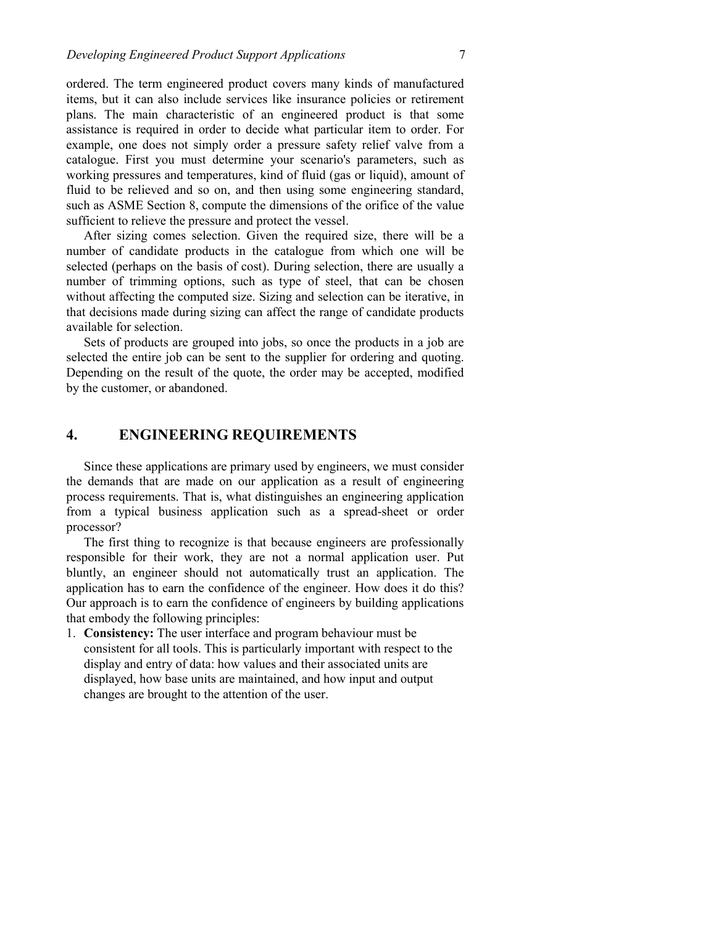ordered. The term engineered product covers many kinds of manufactured items, but it can also include services like insurance policies or retirement plans. The main characteristic of an engineered product is that some assistance is required in order to decide what particular item to order. For example, one does not simply order a pressure safety relief valve from a catalogue. First you must determine your scenario's parameters, such as working pressures and temperatures, kind of fluid (gas or liquid), amount of fluid to be relieved and so on, and then using some engineering standard, such as ASME Section 8, compute the dimensions of the orifice of the value sufficient to relieve the pressure and protect the vessel.

After sizing comes selection. Given the required size, there will be a number of candidate products in the catalogue from which one will be selected (perhaps on the basis of cost). During selection, there are usually a number of trimming options, such as type of steel, that can be chosen without affecting the computed size. Sizing and selection can be iterative, in that decisions made during sizing can affect the range of candidate products available for selection.

Sets of products are grouped into jobs, so once the products in a job are selected the entire job can be sent to the supplier for ordering and quoting. Depending on the result of the quote, the order may be accepted, modified by the customer, or abandoned.

## **4. ENGINEERING REQUIREMENTS**

Since these applications are primary used by engineers, we must consider the demands that are made on our application as a result of engineering process requirements. That is, what distinguishes an engineering application from a typical business application such as a spread-sheet or order processor?

The first thing to recognize is that because engineers are professionally responsible for their work, they are not a normal application user. Put bluntly, an engineer should not automatically trust an application. The application has to earn the confidence of the engineer. How does it do this? Our approach is to earn the confidence of engineers by building applications that embody the following principles:

1. **Consistency:** The user interface and program behaviour must be consistent for all tools. This is particularly important with respect to the display and entry of data: how values and their associated units are displayed, how base units are maintained, and how input and output changes are brought to the attention of the user.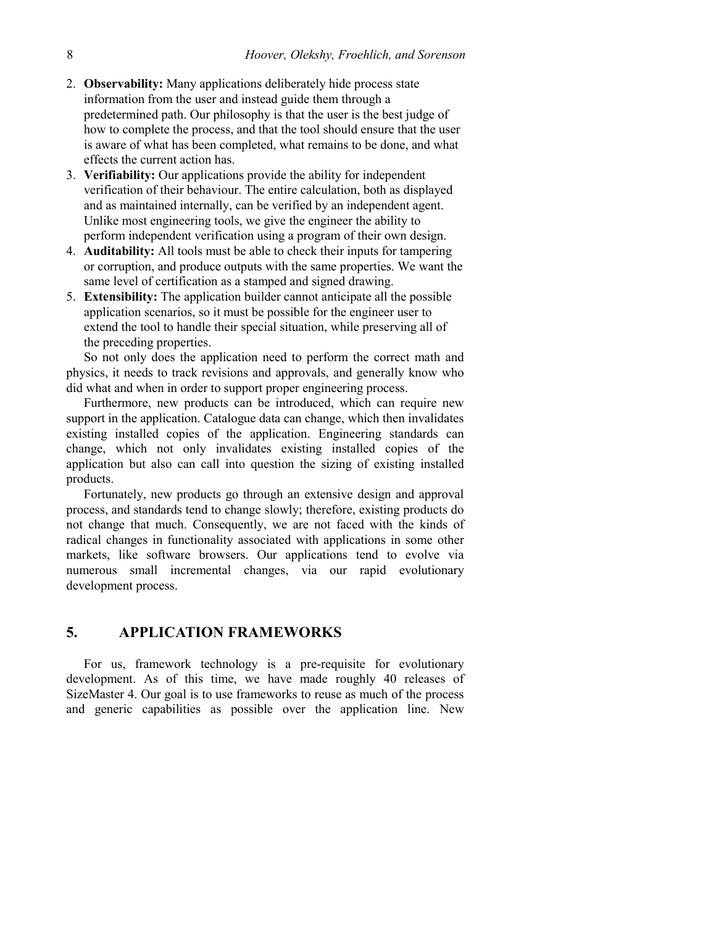- 2. **Observability:** Many applications deliberately hide process state information from the user and instead guide them through a predetermined path. Our philosophy is that the user is the best judge of how to complete the process, and that the tool should ensure that the user is aware of what has been completed, what remains to be done, and what effects the current action has.
- 3. **Verifiability:** Our applications provide the ability for independent verification of their behaviour. The entire calculation, both as displayed and as maintained internally, can be verified by an independent agent. Unlike most engineering tools, we give the engineer the ability to perform independent verification using a program of their own design.
- 4. **Auditability:** All tools must be able to check their inputs for tampering or corruption, and produce outputs with the same properties. We want the same level of certification as a stamped and signed drawing.
- 5. **Extensibility:** The application builder cannot anticipate all the possible application scenarios, so it must be possible for the engineer user to extend the tool to handle their special situation, while preserving all of the preceding properties.

So not only does the application need to perform the correct math and physics, it needs to track revisions and approvals, and generally know who did what and when in order to support proper engineering process.

Furthermore, new products can be introduced, which can require new support in the application. Catalogue data can change, which then invalidates existing installed copies of the application. Engineering standards can change, which not only invalidates existing installed copies of the application but also can call into question the sizing of existing installed products.

Fortunately, new products go through an extensive design and approval process, and standards tend to change slowly; therefore, existing products do not change that much. Consequently, we are not faced with the kinds of radical changes in functionality associated with applications in some other markets, like software browsers. Our applications tend to evolve via numerous small incremental changes, via our rapid evolutionary development process.

## **5. APPLICATION FRAMEWORKS**

For us, framework technology is a pre-requisite for evolutionary development. As of this time, we have made roughly 40 releases of SizeMaster 4. Our goal is to use frameworks to reuse as much of the process and generic capabilities as possible over the application line. New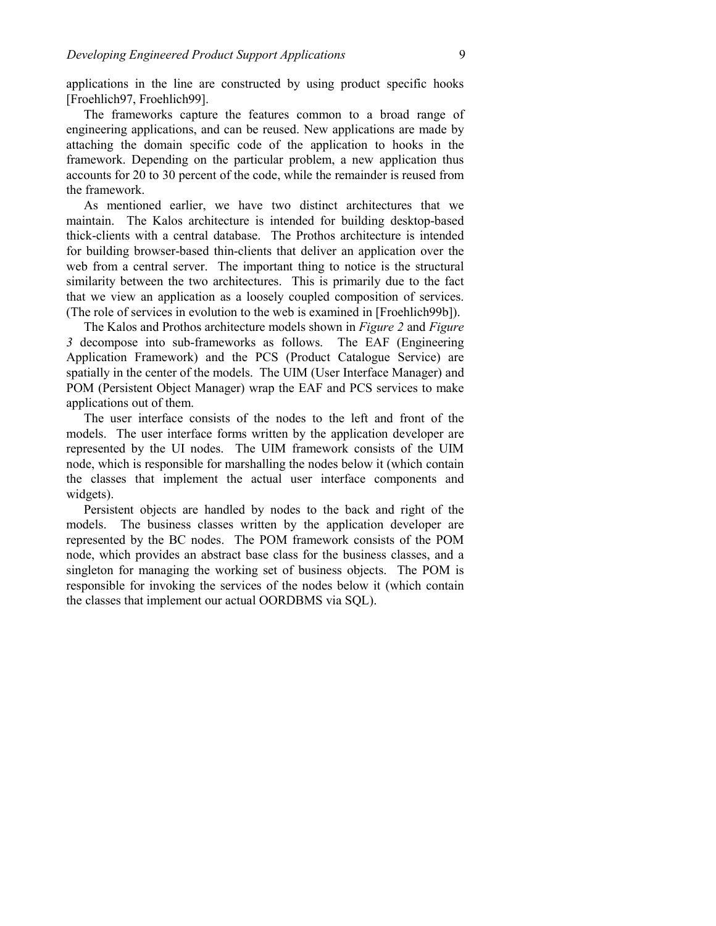applications in the line are constructed by using product specific hooks [Froehlich97, Froehlich99].

The frameworks capture the features common to a broad range of engineering applications, and can be reused. New applications are made by attaching the domain specific code of the application to hooks in the framework. Depending on the particular problem, a new application thus accounts for 20 to 30 percent of the code, while the remainder is reused from the framework.

As mentioned earlier, we have two distinct architectures that we maintain. The Kalos architecture is intended for building desktop-based thick-clients with a central database. The Prothos architecture is intended for building browser-based thin-clients that deliver an application over the web from a central server. The important thing to notice is the structural similarity between the two architectures. This is primarily due to the fact that we view an application as a loosely coupled composition of services. (The role of services in evolution to the web is examined in [Froehlich99b]).

The Kalos and Prothos architecture models shown in *Figure 2* and *Figure 3* decompose into sub-frameworks as follows. The EAF (Engineering Application Framework) and the PCS (Product Catalogue Service) are spatially in the center of the models. The UIM (User Interface Manager) and POM (Persistent Object Manager) wrap the EAF and PCS services to make applications out of them.

The user interface consists of the nodes to the left and front of the models. The user interface forms written by the application developer are represented by the UI nodes. The UIM framework consists of the UIM node, which is responsible for marshalling the nodes below it (which contain the classes that implement the actual user interface components and widgets).

Persistent objects are handled by nodes to the back and right of the models. The business classes written by the application developer are represented by the BC nodes. The POM framework consists of the POM node, which provides an abstract base class for the business classes, and a singleton for managing the working set of business objects. The POM is responsible for invoking the services of the nodes below it (which contain the classes that implement our actual OORDBMS via SQL).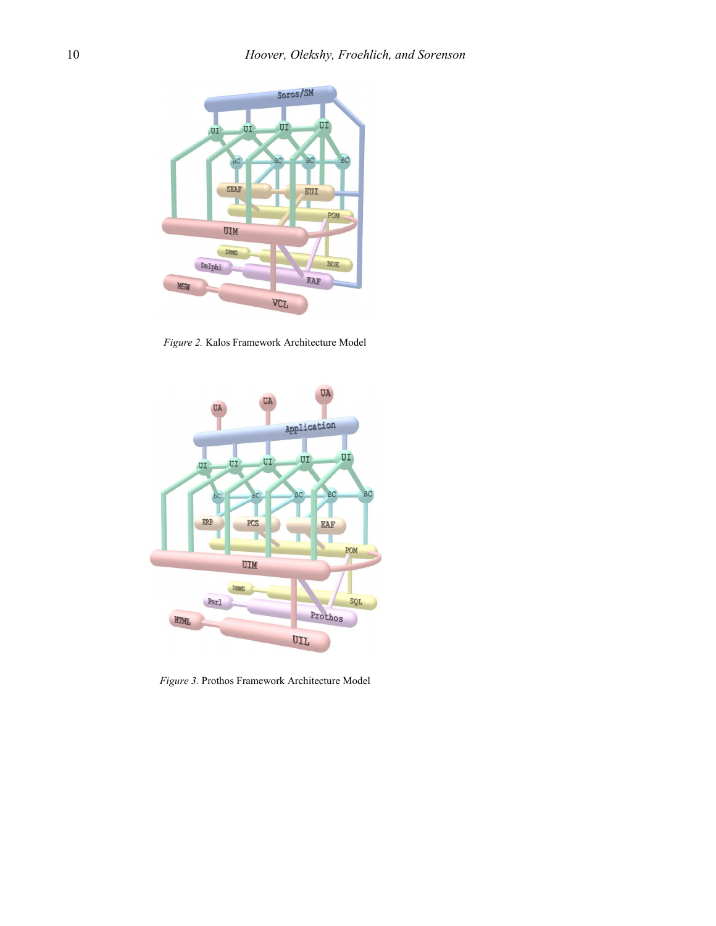

*Figure 2.* Kalos Framework Architecture Model



*Figure 3.* Prothos Framework Architecture Model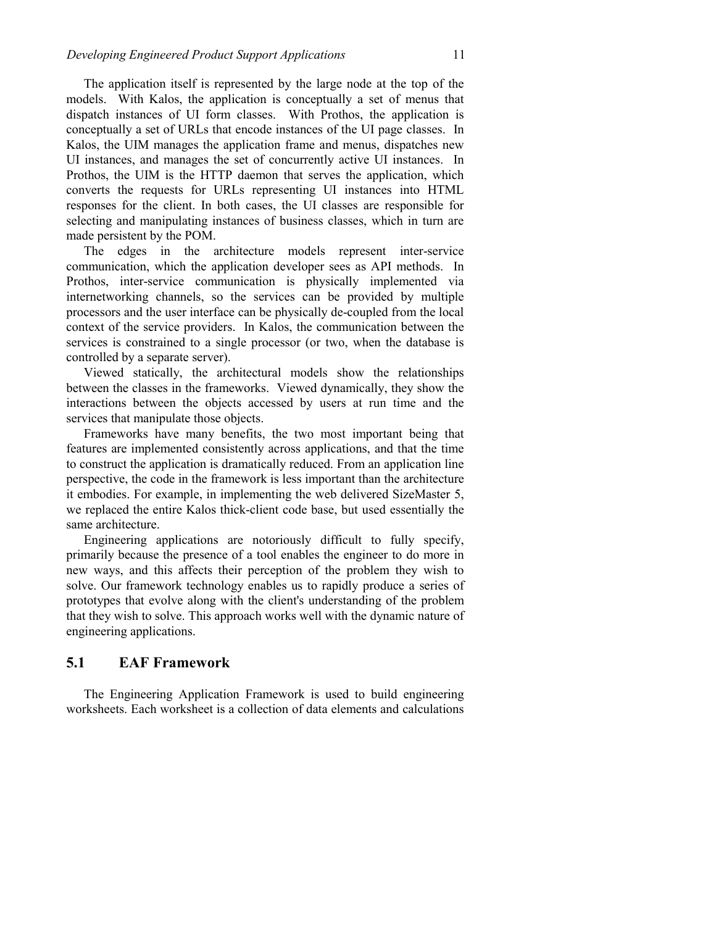The application itself is represented by the large node at the top of the models. With Kalos, the application is conceptually a set of menus that dispatch instances of UI form classes. With Prothos, the application is conceptually a set of URLs that encode instances of the UI page classes. In Kalos, the UIM manages the application frame and menus, dispatches new UI instances, and manages the set of concurrently active UI instances. In Prothos, the UIM is the HTTP daemon that serves the application, which converts the requests for URLs representing UI instances into HTML responses for the client. In both cases, the UI classes are responsible for selecting and manipulating instances of business classes, which in turn are made persistent by the POM.

The edges in the architecture models represent inter-service communication, which the application developer sees as API methods. In Prothos, inter-service communication is physically implemented via internetworking channels, so the services can be provided by multiple processors and the user interface can be physically de-coupled from the local context of the service providers. In Kalos, the communication between the services is constrained to a single processor (or two, when the database is controlled by a separate server).

Viewed statically, the architectural models show the relationships between the classes in the frameworks. Viewed dynamically, they show the interactions between the objects accessed by users at run time and the services that manipulate those objects.

Frameworks have many benefits, the two most important being that features are implemented consistently across applications, and that the time to construct the application is dramatically reduced. From an application line perspective, the code in the framework is less important than the architecture it embodies. For example, in implementing the web delivered SizeMaster 5, we replaced the entire Kalos thick-client code base, but used essentially the same architecture.

Engineering applications are notoriously difficult to fully specify, primarily because the presence of a tool enables the engineer to do more in new ways, and this affects their perception of the problem they wish to solve. Our framework technology enables us to rapidly produce a series of prototypes that evolve along with the client's understanding of the problem that they wish to solve. This approach works well with the dynamic nature of engineering applications.

### **5.1 EAF Framework**

The Engineering Application Framework is used to build engineering worksheets. Each worksheet is a collection of data elements and calculations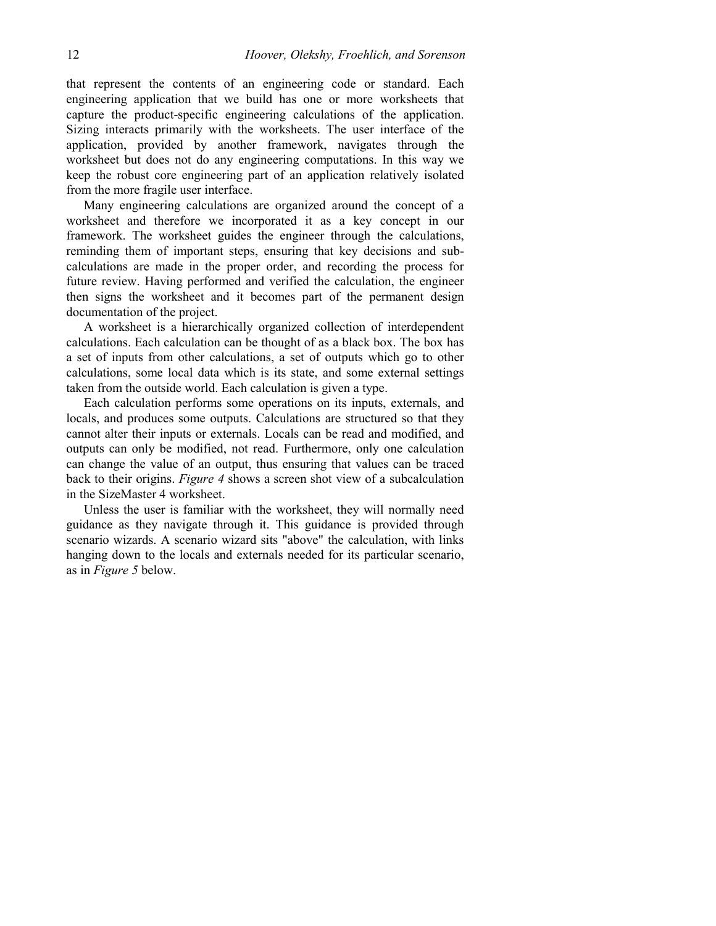that represent the contents of an engineering code or standard. Each engineering application that we build has one or more worksheets that capture the product-specific engineering calculations of the application. Sizing interacts primarily with the worksheets. The user interface of the application, provided by another framework, navigates through the worksheet but does not do any engineering computations. In this way we keep the robust core engineering part of an application relatively isolated from the more fragile user interface.

Many engineering calculations are organized around the concept of a worksheet and therefore we incorporated it as a key concept in our framework. The worksheet guides the engineer through the calculations, reminding them of important steps, ensuring that key decisions and subcalculations are made in the proper order, and recording the process for future review. Having performed and verified the calculation, the engineer then signs the worksheet and it becomes part of the permanent design documentation of the project.

A worksheet is a hierarchically organized collection of interdependent calculations. Each calculation can be thought of as a black box. The box has a set of inputs from other calculations, a set of outputs which go to other calculations, some local data which is its state, and some external settings taken from the outside world. Each calculation is given a type.

Each calculation performs some operations on its inputs, externals, and locals, and produces some outputs. Calculations are structured so that they cannot alter their inputs or externals. Locals can be read and modified, and outputs can only be modified, not read. Furthermore, only one calculation can change the value of an output, thus ensuring that values can be traced back to their origins. *Figure 4* shows a screen shot view of a subcalculation in the SizeMaster 4 worksheet.

Unless the user is familiar with the worksheet, they will normally need guidance as they navigate through it. This guidance is provided through scenario wizards. A scenario wizard sits "above" the calculation, with links hanging down to the locals and externals needed for its particular scenario, as in *Figure 5* below.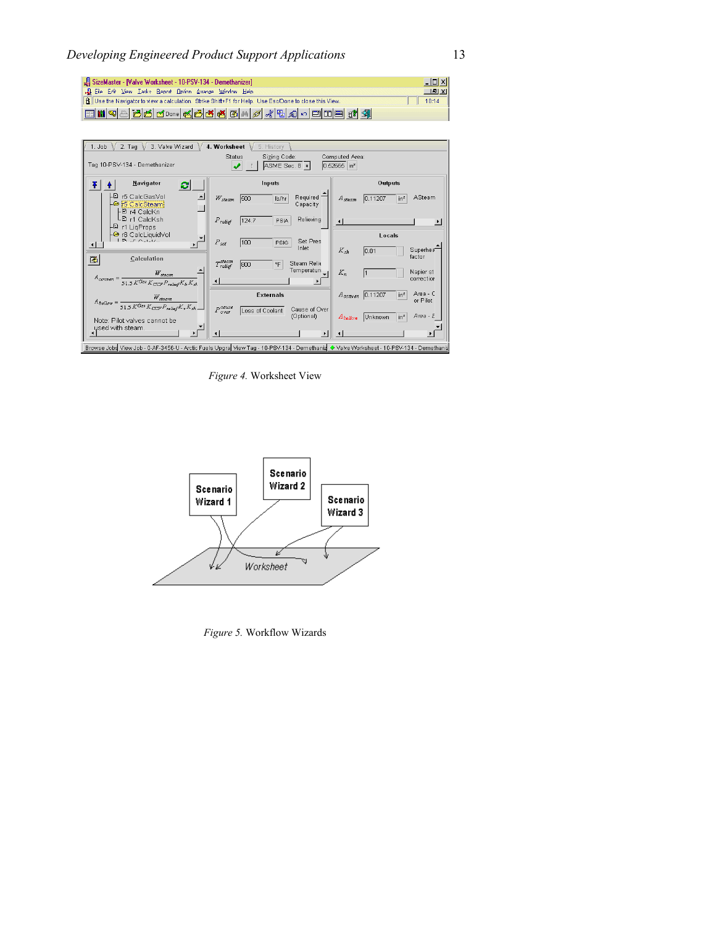

*Figure 4.* Worksheet View



*Figure 5.* Workflow Wizards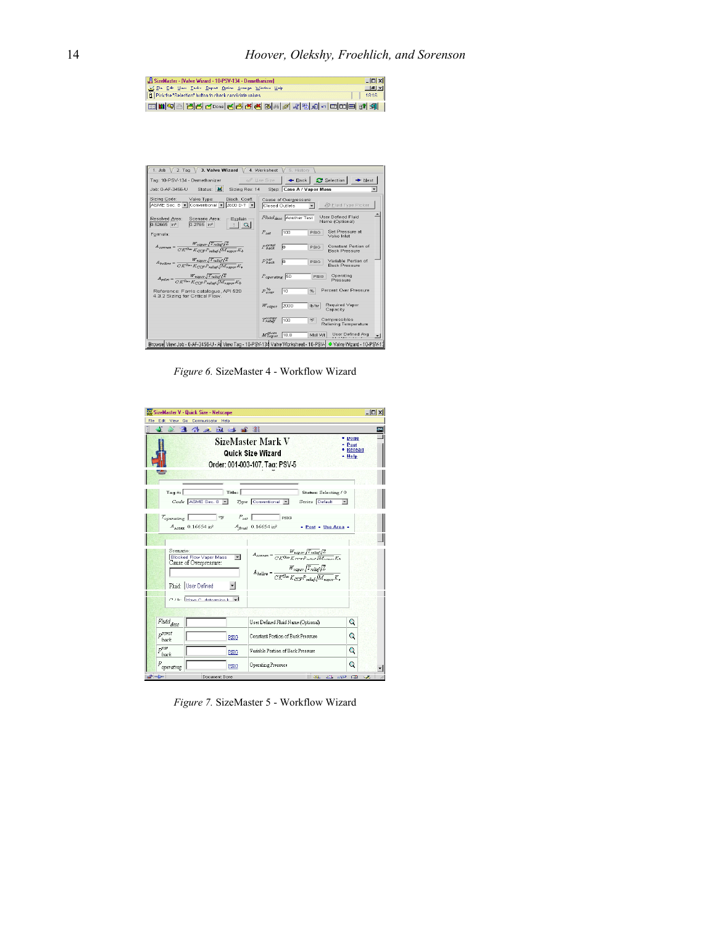| SizeMaster - [Valve Wizard - 10-PSV-134 - Demethanizer]   | 1x1              |
|-----------------------------------------------------------|------------------|
| K File Fritt View Tasks Report Option Atrange Window Help | $-i \theta$ i xi |
| 8 Pick the "Selection" button to check candidate valves   |                  |
|                                                           |                  |

| $\sqrt{2}$ . Tag $\sqrt{3}$ . Valve Wizard $\sqrt{4}$ . Worksheet $\sqrt{5}$ . History<br>1. Job                                                         |                                                                                                              |
|----------------------------------------------------------------------------------------------------------------------------------------------------------|--------------------------------------------------------------------------------------------------------------|
| Tag: 10-PSV-134 - Demethanizer                                                                                                                           | Vese Size   ← Back   ● Selection  <br>$\rightarrow$ Next                                                     |
| Status: Be<br>Job: 0-AF-3456-U<br>Sizing Rev: 14                                                                                                         | Step: Case A / Vapor Mass                                                                                    |
| Sizing Code: Valve Type:<br>Disch, Coeff.<br>ASME Sec. 8 . Conventional . 2600 D-T .                                                                     | Cause of Overpressure:<br>& Eluid Type Picker<br>Closed Outlets                                              |
| Resolved Area:<br>Scenario Area:<br>Explain<br>$0.2765$ in <sup>2</sup><br>$0.52665$ in <sup>2</sup><br>$ \mathbf{Q} $                                   | <b>User Defined Fluid</b><br>Fluid <sub>desc</sub> Another Test<br>Name (Optional)                           |
| Formula:                                                                                                                                                 | Set Pressure at<br>$P_{sat}$<br>100<br>PSIG<br>Valve Inlet                                                   |
| $A_{conven} = \frac{W_{vapor} \sqrt{T_{relief}} \sqrt{Z}}{CK^{Ga} K_{CCF} P_{relief} \sqrt{M_{vapor}} K_b}$                                              | $P_{back}^{const}$<br>Constant Portion of<br>Гō<br>PSIG<br><b>Back Pressure</b>                              |
| $A_{\text{below}} = \frac{W_{\text{vapor}} \sqrt{T_{\text{relief}} \sqrt{Z}}}{CK^{Ga_2} K_{CCF} P_{\text{relief}} \sqrt{M_{\text{vapor}} K_{\text{v}}}}$ | $P_{back}^{var}$<br>Variable Portion of<br>lо<br>PSIG<br><b>Back Pressure</b>                                |
| $A_{pilot} = \frac{W_{vapor}\sqrt{T_{relief}}\sqrt{Z}}{CK^{Gas}K_{CCF}P_{relief}\sqrt{M_{vapor}}K_b}$                                                    | Operating<br>$P_{operating}$ 50<br>PSIG<br>Pressure                                                          |
| Reference: Farris catalogue, API 520<br>4.3.2 Sizing for Critical Flow.                                                                                  | $P_{over}^{\%}$<br>Percent Over Pressure<br>10<br>%                                                          |
|                                                                                                                                                          | Required Vapor<br>$W_{\nu a\nu o r}$ 2000<br>lb/hr<br>Capacity                                               |
|                                                                                                                                                          | Tretier<br>Compressibles<br>°F<br>100<br>Relieving Temperature                                               |
|                                                                                                                                                          | M <sup>given</sup><br>User Defined Avg<br>Mol Wt<br>18.8                                                     |
|                                                                                                                                                          | Browse View Job - 0-AF-3456-U - A View Tag - 10-PSV-134 Valve Worksheet - 10-PSV-1 ♦ Valve Wizard - 10-PSV-1 |

*Figure 6.* SizeMaster 4 - Workflow Wizard

|                                            | SizeMaster V - Quick Size - Netscape                                                                                        |                                                                                                                                                                                                                                                                                                                                           |                                              | $\Box$ ulxi                                                          |
|--------------------------------------------|-----------------------------------------------------------------------------------------------------------------------------|-------------------------------------------------------------------------------------------------------------------------------------------------------------------------------------------------------------------------------------------------------------------------------------------------------------------------------------------|----------------------------------------------|----------------------------------------------------------------------|
| File                                       | Edit View Go Communicator Help                                                                                              |                                                                                                                                                                                                                                                                                                                                           |                                              |                                                                      |
|                                            | 医古巴白色素                                                                                                                      |                                                                                                                                                                                                                                                                                                                                           |                                              | M                                                                    |
|                                            |                                                                                                                             | SizeMaster Mark V<br>Quick Size Wizard<br>Order: 001 003 107, Tag: PSV 5                                                                                                                                                                                                                                                                  |                                              | $\overline{\phantom{a}}$<br>· Done<br>- Poet<br>· Keread<br>$-$ Holp |
|                                            | Title:                                                                                                                      |                                                                                                                                                                                                                                                                                                                                           |                                              |                                                                      |
| Tag #:                                     | Code ASME Sec. 8 -                                                                                                          | Type Conventional                                                                                                                                                                                                                                                                                                                         | Status: Selecting / 0<br>Series Default<br>↽ |                                                                      |
| $T_{operating}$                            | $P_{\text{net}}$<br>°F<br>$A_{\text{astar}}$ 0.16654 in <sup>2</sup>                                                        | <b>PSIG</b><br>$A_{final}$ 0.16654 in <sup>2</sup>                                                                                                                                                                                                                                                                                        | - Post - Use Area -                          |                                                                      |
| Scenario:                                  | <b>Blocked Flow Vapor Mass</b><br>$\overline{\phantom{a}}$<br>Cause of Overpressure:<br>Fluid: User Defined<br>$\mathbf{v}$ | $A_{\mathit{common}} = \frac{W_{\mathit{vapor}} \sqrt{T_{\mathit{relief}}}\sqrt{Z}}{CK^{Ga_2} K_{\mathit{CCP}} P_{\mathit{relief}} \sqrt{M_{\mathit{vapor}}} K_b}$<br>$A_{\textit{below}} = \frac{W_{\textit{vapor}} \sqrt{T_{\textit{relief}}}/\overline{Z}}{C K^{Gas} K_{CCF} P_{\textit{relief}} / \overline{M_{\textit{vomo}}}} K_v}$ |                                              |                                                                      |
|                                            | CIL Home C. determine L. v.                                                                                                 |                                                                                                                                                                                                                                                                                                                                           |                                              |                                                                      |
| Fluid <sub>desc</sub>                      |                                                                                                                             | User Defined Fluid Name (Optional)                                                                                                                                                                                                                                                                                                        |                                              | Q                                                                    |
| $c$ onst<br>back                           | PSIG                                                                                                                        | Constant Portion of Back Pressure                                                                                                                                                                                                                                                                                                         |                                              | Q                                                                    |
| $\bar{p}^{\bar{p}ar}$<br>back              | PSIG                                                                                                                        | Variable Portion of Back Pressure                                                                                                                                                                                                                                                                                                         |                                              | Q                                                                    |
| $P_{\it operating}$                        | <b>PSIG</b>                                                                                                                 | Operating Pressure                                                                                                                                                                                                                                                                                                                        |                                              | Q                                                                    |
| $\mathbb{E}^{\mathbb{P}}$ and $\mathbb{E}$ | Document Done                                                                                                               |                                                                                                                                                                                                                                                                                                                                           |                                              | $\sim$ 2.                                                            |

*Figure 7.* SizeMaster 5 - Workflow Wizard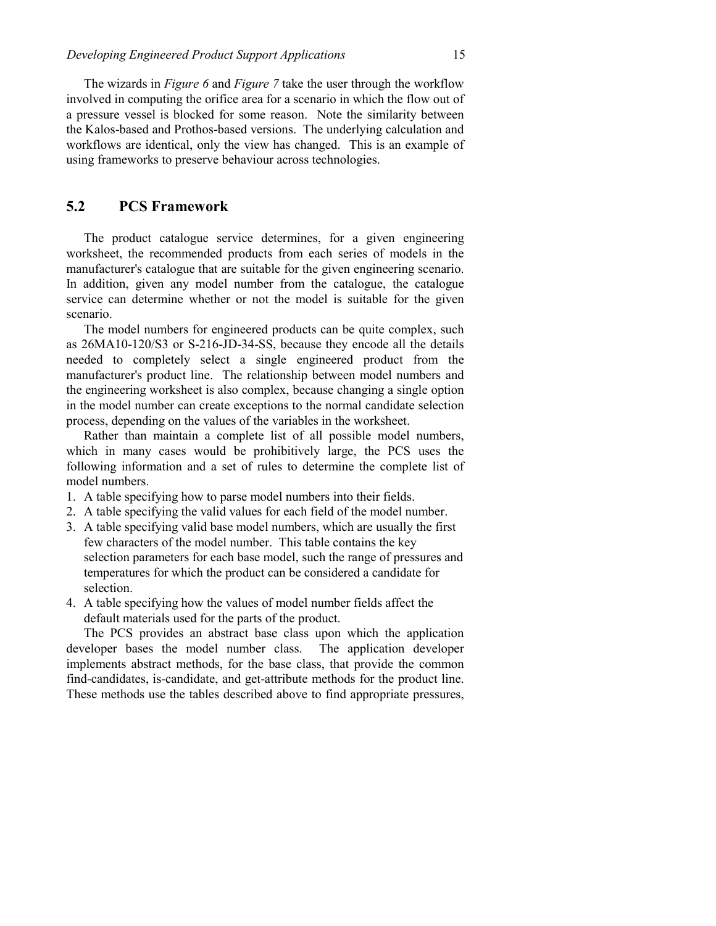The wizards in *Figure 6* and *Figure 7* take the user through the workflow involved in computing the orifice area for a scenario in which the flow out of a pressure vessel is blocked for some reason. Note the similarity between the Kalos-based and Prothos-based versions. The underlying calculation and workflows are identical, only the view has changed. This is an example of using frameworks to preserve behaviour across technologies.

## **5.2 PCS Framework**

The product catalogue service determines, for a given engineering worksheet, the recommended products from each series of models in the manufacturer's catalogue that are suitable for the given engineering scenario. In addition, given any model number from the catalogue, the catalogue service can determine whether or not the model is suitable for the given scenario.

The model numbers for engineered products can be quite complex, such as 26MA10-120/S3 or S-216-JD-34-SS, because they encode all the details needed to completely select a single engineered product from the manufacturer's product line. The relationship between model numbers and the engineering worksheet is also complex, because changing a single option in the model number can create exceptions to the normal candidate selection process, depending on the values of the variables in the worksheet.

Rather than maintain a complete list of all possible model numbers, which in many cases would be prohibitively large, the PCS uses the following information and a set of rules to determine the complete list of model numbers.

- 1. A table specifying how to parse model numbers into their fields.
- 2. A table specifying the valid values for each field of the model number.
- 3. A table specifying valid base model numbers, which are usually the first few characters of the model number. This table contains the key selection parameters for each base model, such the range of pressures and temperatures for which the product can be considered a candidate for selection.
- 4. A table specifying how the values of model number fields affect the default materials used for the parts of the product.

The PCS provides an abstract base class upon which the application developer bases the model number class. The application developer implements abstract methods, for the base class, that provide the common find-candidates, is-candidate, and get-attribute methods for the product line. These methods use the tables described above to find appropriate pressures,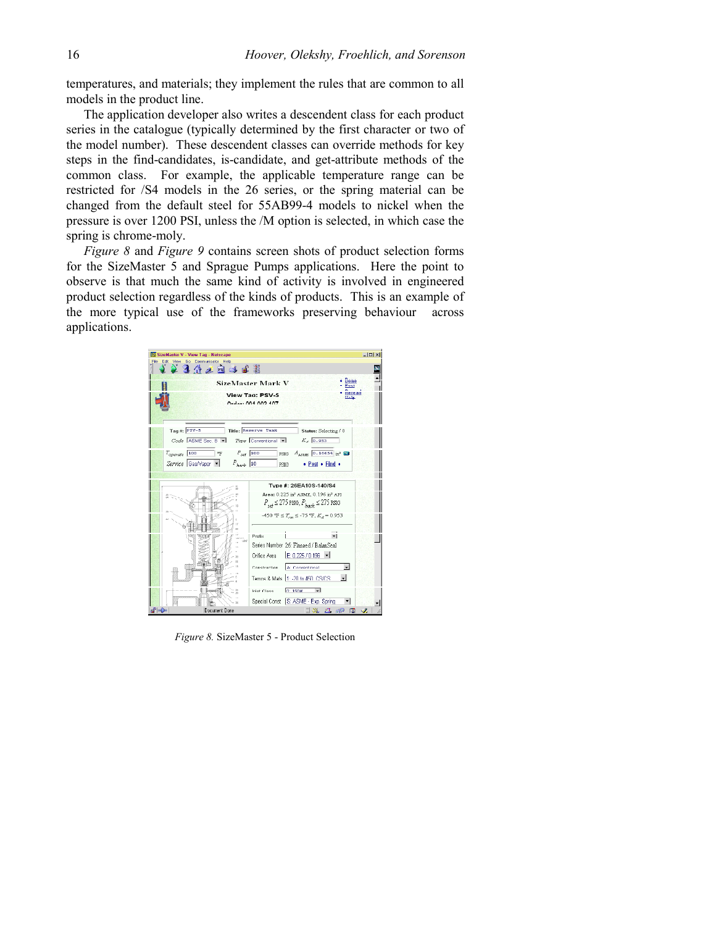temperatures, and materials; they implement the rules that are common to all models in the product line.

The application developer also writes a descendent class for each product series in the catalogue (typically determined by the first character or two of the model number). These descendent classes can override methods for key steps in the find-candidates, is-candidate, and get-attribute methods of the common class. For example, the applicable temperature range can be restricted for /S4 models in the 26 series, or the spring material can be changed from the default steel for 55AB99-4 models to nickel when the pressure is over 1200 PSI, unless the /M option is selected, in which case the spring is chrome-moly.

*Figure 8* and *Figure 9* contains screen shots of product selection forms for the SizeMaster 5 and Sprague Pumps applications. Here the point to observe is that much the same kind of activity is involved in engineered product selection regardless of the kinds of products. This is an example of the more typical use of the frameworks preserving behaviour across applications.



*Figure 8.* SizeMaster 5 - Product Selection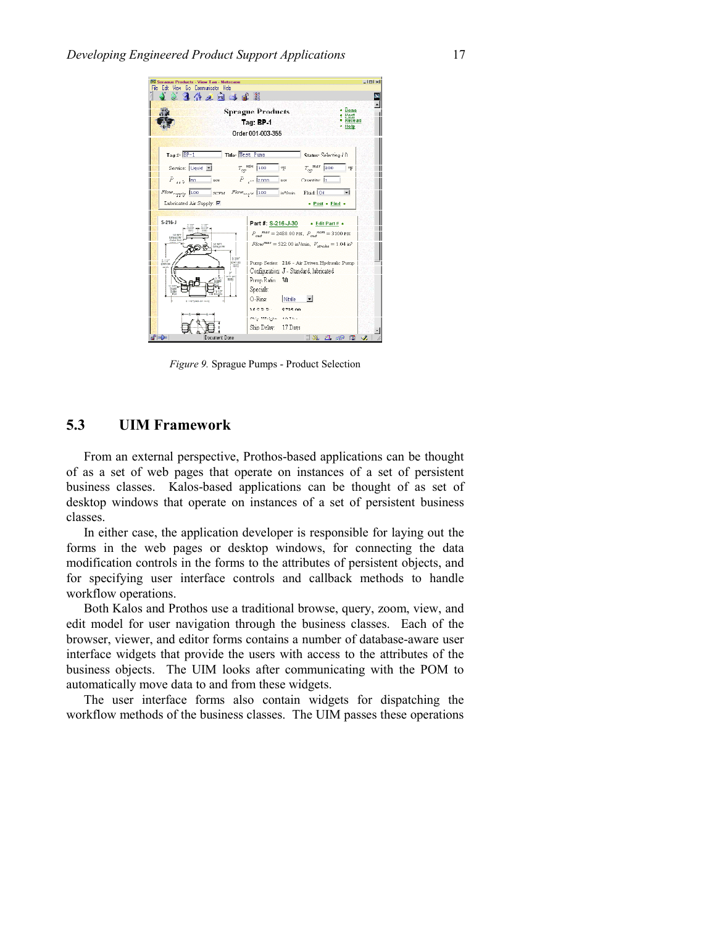

*Figure 9.* Sprague Pumps - Product Selection

## **5.3 UIM Framework**

From an external perspective, Prothos-based applications can be thought of as a set of web pages that operate on instances of a set of persistent business classes. Kalos-based applications can be thought of as set of desktop windows that operate on instances of a set of persistent business classes.

In either case, the application developer is responsible for laying out the forms in the web pages or desktop windows, for connecting the data modification controls in the forms to the attributes of persistent objects, and for specifying user interface controls and callback methods to handle workflow operations.

Both Kalos and Prothos use a traditional browse, query, zoom, view, and edit model for user navigation through the business classes. Each of the browser, viewer, and editor forms contains a number of database-aware user interface widgets that provide the users with access to the attributes of the business objects. The UIM looks after communicating with the POM to automatically move data to and from these widgets.

The user interface forms also contain widgets for dispatching the workflow methods of the business classes. The UIM passes these operations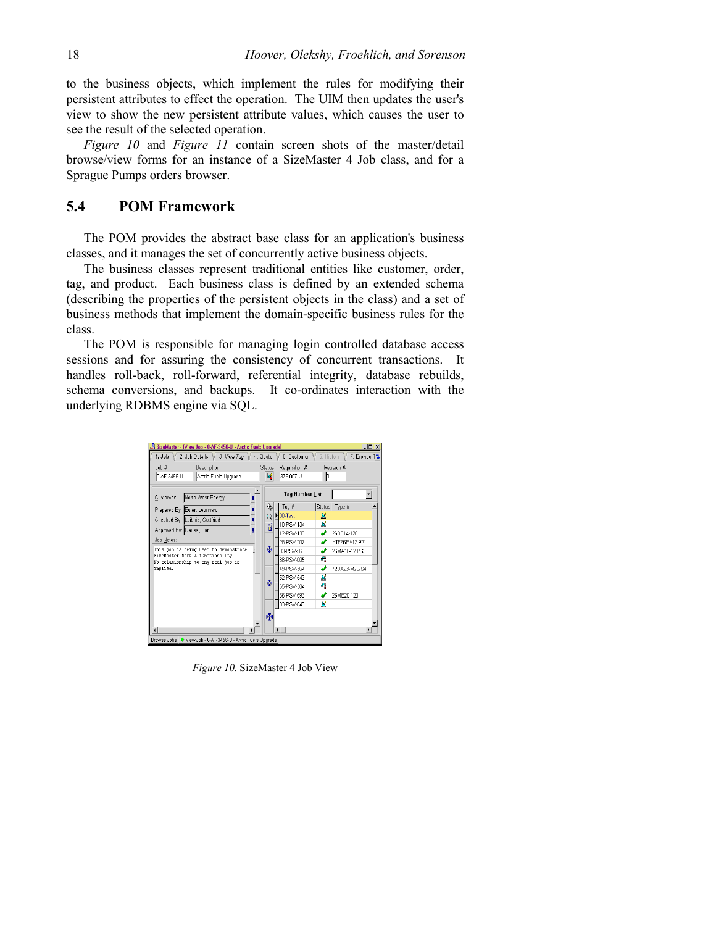to the business objects, which implement the rules for modifying their persistent attributes to effect the operation. The UIM then updates the user's view to show the new persistent attribute values, which causes the user to see the result of the selected operation.

*Figure 10* and *Figure 11* contain screen shots of the master/detail browse/view forms for an instance of a SizeMaster 4 Job class, and for a Sprague Pumps orders browser.

## **5.4 POM Framework**

The POM provides the abstract base class for an application's business classes, and it manages the set of concurrently active business objects.

The business classes represent traditional entities like customer, order, tag, and product. Each business class is defined by an extended schema (describing the properties of the persistent objects in the class) and a set of business methods that implement the domain-specific business rules for the class.

The POM is responsible for managing login controlled database access sessions and for assuring the consistency of concurrent transactions. It handles roll-back, roll-forward, referential integrity, database rebuilds, schema conversions, and backups. It co-ordinates interaction with the underlying RDBMS engine via SQL.



*Figure 10.* SizeMaster 4 Job View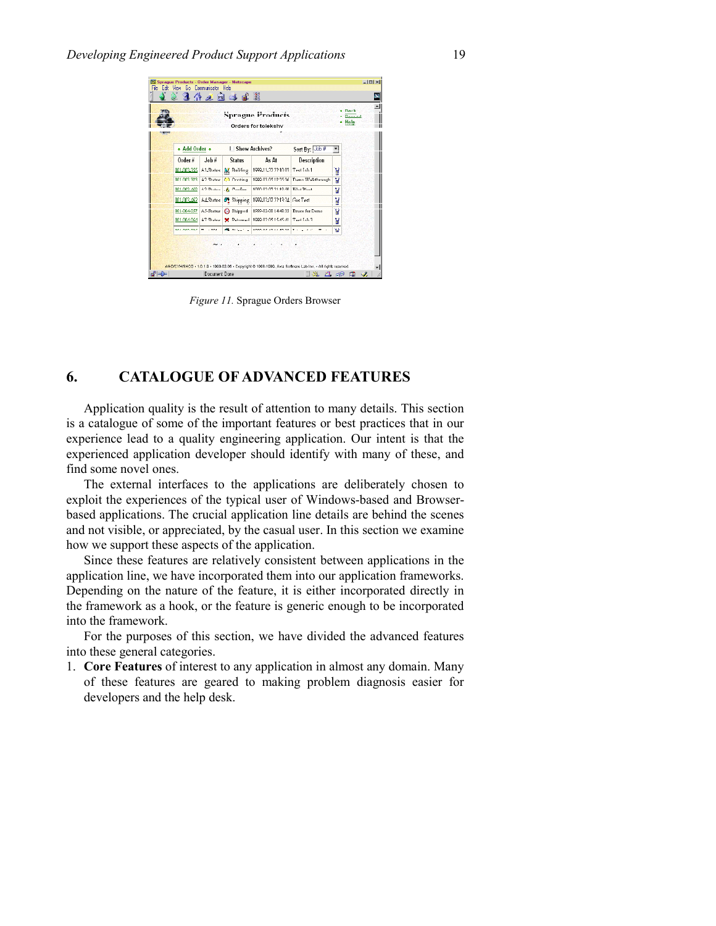| <b>TERS</b> |               |            |                         | <b>Sprague Products</b><br>Orders for tolekshy         |                                       | • Back<br>Daraad<br>Help |
|-------------|---------------|------------|-------------------------|--------------------------------------------------------|---------------------------------------|--------------------------|
|             | • Add Order • |            | L Show Archives?        |                                                        | Sort By: Job #                        | $\blacktriangledown$     |
|             | Order#        | Job#       | <b>Status</b>           | As At                                                  | <b>Description</b>                    |                          |
|             | 001-003-355   | A1-Status  | <b>M</b> Building       | 1999-11-22 22:10:03 Test. Jnh 1                        |                                       | ¥                        |
|             | 001.003.333   | A2.Status  | $\bigcirc$ Ounting      |                                                        | 1999.03.05.18:25:36 Demo Wallsthrough | ÷<br>W                   |
|             | 001.002.AK9   | A2 Status  | <b>A</b> Continue       | 1000 02:07:21:19:50                                    | Dilot Diant                           | N                        |
|             | 001-003-462   |            |                         | A4-Status   0% Shipping   1999-02-07 22:13:24 Gas Test |                                       | ď                        |
|             | 001-004-057   |            | A5-Status   (-) Shioned | 1999-02-08 14:48:33   Bruce for Demo                   |                                       | ¥                        |
|             | 001.004.064   |            | A7-Status X Ratismad    | 1000.02.05.15:45:41 Teet Tob 3                         |                                       | Y                        |
|             | ons one one.  | $T - 1001$ | <b>AND CHARLOCK</b>     | 1000 05 12 11:50:32                                    |                                       | v                        |
|             |               | $2511 - 1$ | $\sim$                  | $-1$                                                   |                                       |                          |

*Figure 11.* Sprague Orders Browser

## **6. CATALOGUE OF ADVANCED FEATURES**

Application quality is the result of attention to many details. This section is a catalogue of some of the important features or best practices that in our experience lead to a quality engineering application. Our intent is that the experienced application developer should identify with many of these, and find some novel ones.

The external interfaces to the applications are deliberately chosen to exploit the experiences of the typical user of Windows-based and Browserbased applications. The crucial application line details are behind the scenes and not visible, or appreciated, by the casual user. In this section we examine how we support these aspects of the application.

Since these features are relatively consistent between applications in the application line, we have incorporated them into our application frameworks. Depending on the nature of the feature, it is either incorporated directly in the framework as a hook, or the feature is generic enough to be incorporated into the framework.

For the purposes of this section, we have divided the advanced features into these general categories.

1. **Core Features** of interest to any application in almost any domain. Many of these features are geared to making problem diagnosis easier for developers and the help desk.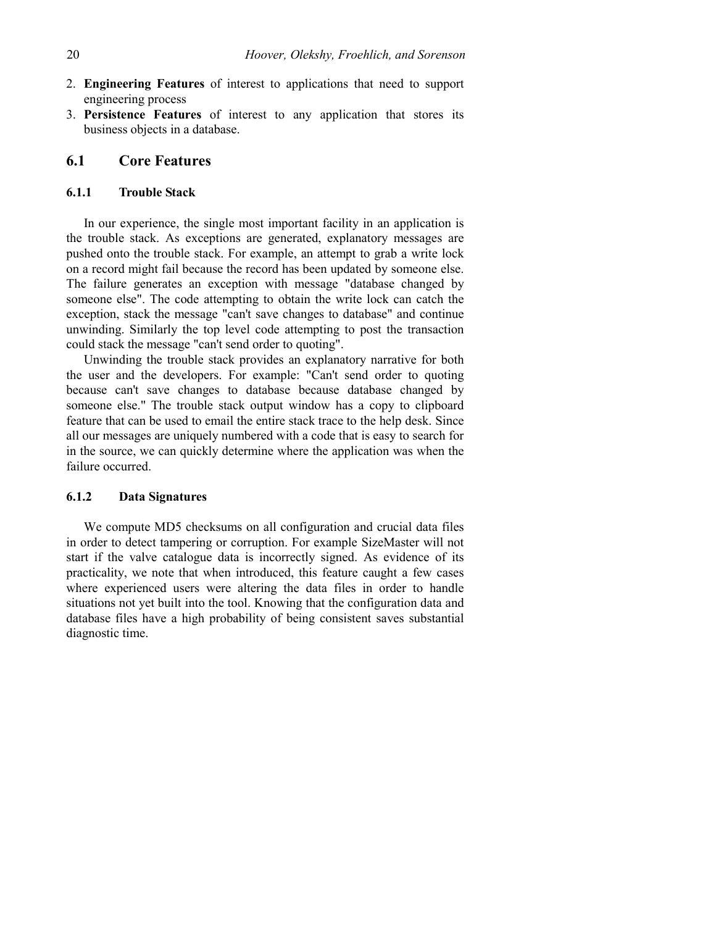- 2. **Engineering Features** of interest to applications that need to support engineering process
- 3. **Persistence Features** of interest to any application that stores its business objects in a database.

## **6.1 Core Features**

#### **6.1.1 Trouble Stack**

In our experience, the single most important facility in an application is the trouble stack. As exceptions are generated, explanatory messages are pushed onto the trouble stack. For example, an attempt to grab a write lock on a record might fail because the record has been updated by someone else. The failure generates an exception with message "database changed by someone else". The code attempting to obtain the write lock can catch the exception, stack the message "can't save changes to database" and continue unwinding. Similarly the top level code attempting to post the transaction could stack the message "can't send order to quoting".

Unwinding the trouble stack provides an explanatory narrative for both the user and the developers. For example: "Can't send order to quoting because can't save changes to database because database changed by someone else." The trouble stack output window has a copy to clipboard feature that can be used to email the entire stack trace to the help desk. Since all our messages are uniquely numbered with a code that is easy to search for in the source, we can quickly determine where the application was when the failure occurred.

#### **6.1.2 Data Signatures**

We compute MD5 checksums on all configuration and crucial data files in order to detect tampering or corruption. For example SizeMaster will not start if the valve catalogue data is incorrectly signed. As evidence of its practicality, we note that when introduced, this feature caught a few cases where experienced users were altering the data files in order to handle situations not yet built into the tool. Knowing that the configuration data and database files have a high probability of being consistent saves substantial diagnostic time.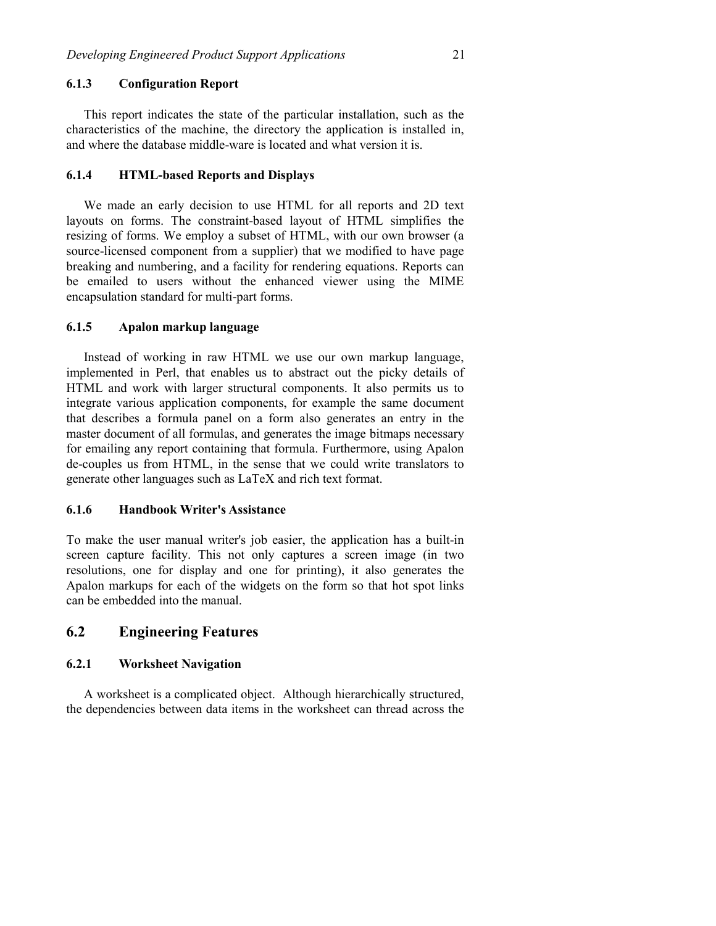#### **6.1.3 Configuration Report**

This report indicates the state of the particular installation, such as the characteristics of the machine, the directory the application is installed in, and where the database middle-ware is located and what version it is.

#### **6.1.4 HTML-based Reports and Displays**

We made an early decision to use HTML for all reports and 2D text layouts on forms. The constraint-based layout of HTML simplifies the resizing of forms. We employ a subset of HTML, with our own browser (a source-licensed component from a supplier) that we modified to have page breaking and numbering, and a facility for rendering equations. Reports can be emailed to users without the enhanced viewer using the MIME encapsulation standard for multi-part forms.

### **6.1.5 Apalon markup language**

Instead of working in raw HTML we use our own markup language, implemented in Perl, that enables us to abstract out the picky details of HTML and work with larger structural components. It also permits us to integrate various application components, for example the same document that describes a formula panel on a form also generates an entry in the master document of all formulas, and generates the image bitmaps necessary for emailing any report containing that formula. Furthermore, using Apalon de-couples us from HTML, in the sense that we could write translators to generate other languages such as LaTeX and rich text format.

#### **6.1.6 Handbook Writer's Assistance**

To make the user manual writer's job easier, the application has a built-in screen capture facility. This not only captures a screen image (in two resolutions, one for display and one for printing), it also generates the Apalon markups for each of the widgets on the form so that hot spot links can be embedded into the manual.

## **6.2 Engineering Features**

#### **6.2.1 Worksheet Navigation**

A worksheet is a complicated object. Although hierarchically structured, the dependencies between data items in the worksheet can thread across the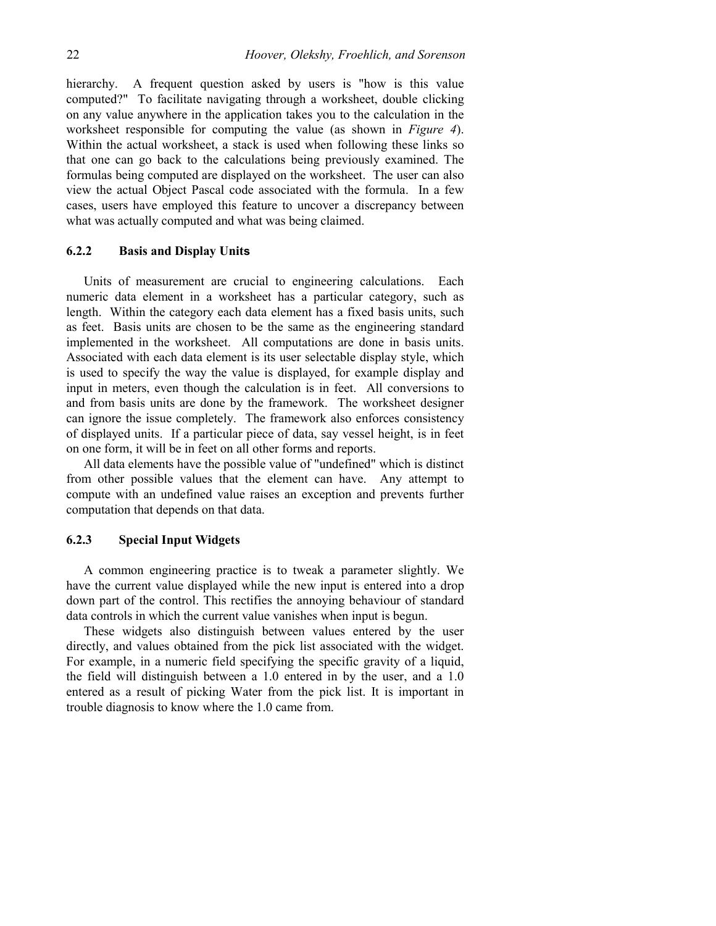hierarchy. A frequent question asked by users is "how is this value computed?" To facilitate navigating through a worksheet, double clicking on any value anywhere in the application takes you to the calculation in the worksheet responsible for computing the value (as shown in *Figure 4*). Within the actual worksheet, a stack is used when following these links so that one can go back to the calculations being previously examined. The formulas being computed are displayed on the worksheet. The user can also view the actual Object Pascal code associated with the formula. In a few cases, users have employed this feature to uncover a discrepancy between what was actually computed and what was being claimed.

#### **6.2.2 Basis and Display Units**

Units of measurement are crucial to engineering calculations. Each numeric data element in a worksheet has a particular category, such as length. Within the category each data element has a fixed basis units, such as feet. Basis units are chosen to be the same as the engineering standard implemented in the worksheet. All computations are done in basis units. Associated with each data element is its user selectable display style, which is used to specify the way the value is displayed, for example display and input in meters, even though the calculation is in feet. All conversions to and from basis units are done by the framework. The worksheet designer can ignore the issue completely. The framework also enforces consistency of displayed units. If a particular piece of data, say vessel height, is in feet on one form, it will be in feet on all other forms and reports.

All data elements have the possible value of "undefined" which is distinct from other possible values that the element can have. Any attempt to compute with an undefined value raises an exception and prevents further computation that depends on that data.

#### **6.2.3 Special Input Widgets**

A common engineering practice is to tweak a parameter slightly. We have the current value displayed while the new input is entered into a drop down part of the control. This rectifies the annoying behaviour of standard data controls in which the current value vanishes when input is begun.

These widgets also distinguish between values entered by the user directly, and values obtained from the pick list associated with the widget. For example, in a numeric field specifying the specific gravity of a liquid, the field will distinguish between a 1.0 entered in by the user, and a 1.0 entered as a result of picking Water from the pick list. It is important in trouble diagnosis to know where the 1.0 came from.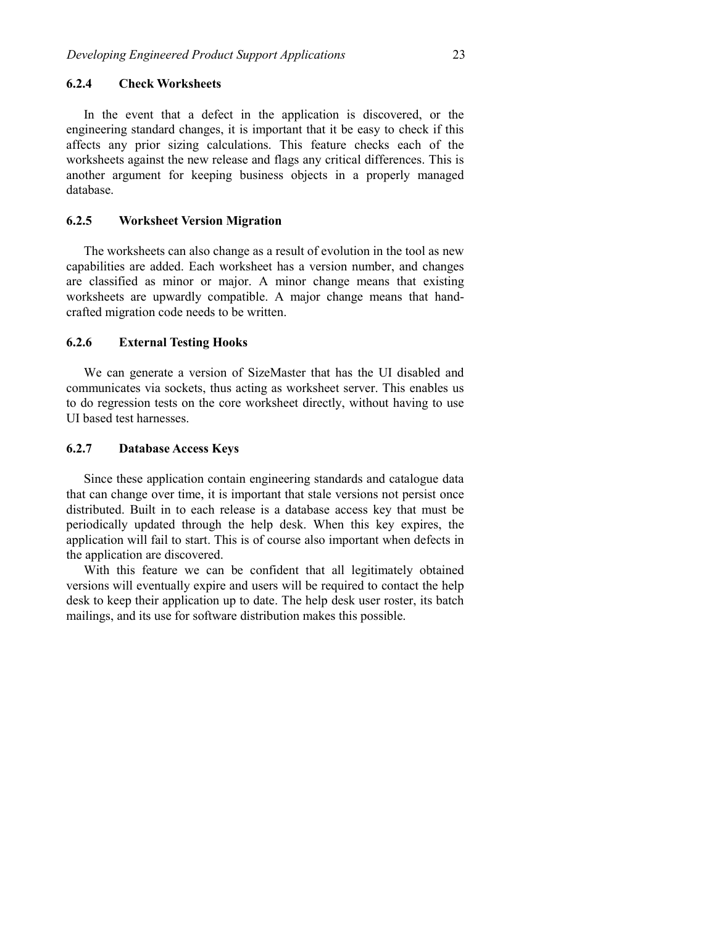### **6.2.4 Check Worksheets**

In the event that a defect in the application is discovered, or the engineering standard changes, it is important that it be easy to check if this affects any prior sizing calculations. This feature checks each of the worksheets against the new release and flags any critical differences. This is another argument for keeping business objects in a properly managed database.

#### **6.2.5 Worksheet Version Migration**

The worksheets can also change as a result of evolution in the tool as new capabilities are added. Each worksheet has a version number, and changes are classified as minor or major. A minor change means that existing worksheets are upwardly compatible. A major change means that handcrafted migration code needs to be written.

#### **6.2.6 External Testing Hooks**

We can generate a version of SizeMaster that has the UI disabled and communicates via sockets, thus acting as worksheet server. This enables us to do regression tests on the core worksheet directly, without having to use UI based test harnesses.

#### **6.2.7 Database Access Keys**

Since these application contain engineering standards and catalogue data that can change over time, it is important that stale versions not persist once distributed. Built in to each release is a database access key that must be periodically updated through the help desk. When this key expires, the application will fail to start. This is of course also important when defects in the application are discovered.

With this feature we can be confident that all legitimately obtained versions will eventually expire and users will be required to contact the help desk to keep their application up to date. The help desk user roster, its batch mailings, and its use for software distribution makes this possible.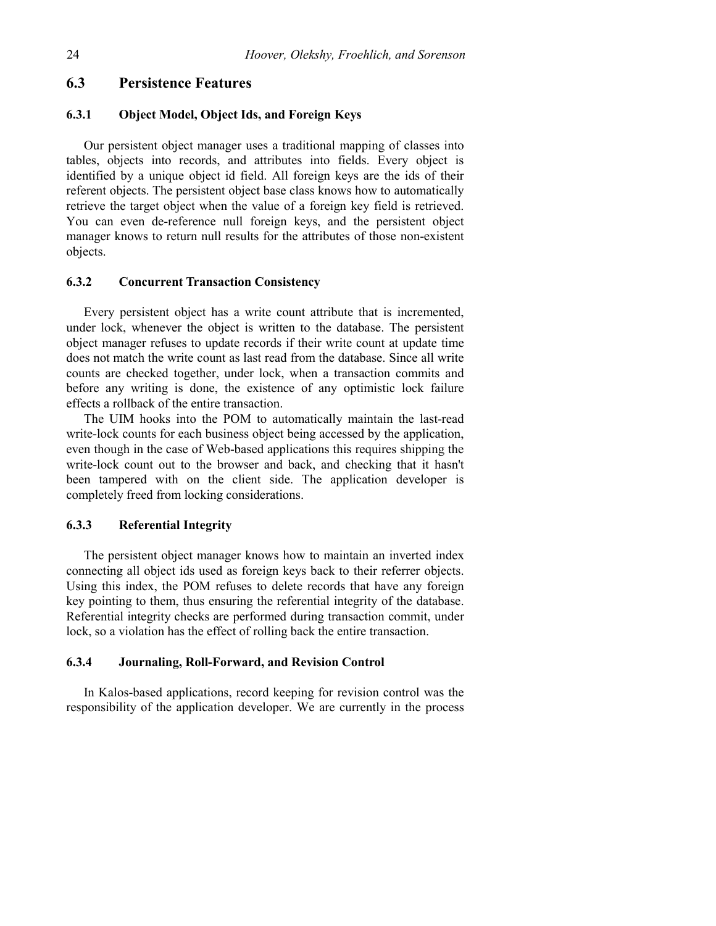#### **6.3 Persistence Features**

#### **6.3.1 Object Model, Object Ids, and Foreign Keys**

Our persistent object manager uses a traditional mapping of classes into tables, objects into records, and attributes into fields. Every object is identified by a unique object id field. All foreign keys are the ids of their referent objects. The persistent object base class knows how to automatically retrieve the target object when the value of a foreign key field is retrieved. You can even de-reference null foreign keys, and the persistent object manager knows to return null results for the attributes of those non-existent objects.

#### **6.3.2 Concurrent Transaction Consistency**

Every persistent object has a write count attribute that is incremented, under lock, whenever the object is written to the database. The persistent object manager refuses to update records if their write count at update time does not match the write count as last read from the database. Since all write counts are checked together, under lock, when a transaction commits and before any writing is done, the existence of any optimistic lock failure effects a rollback of the entire transaction.

The UIM hooks into the POM to automatically maintain the last-read write-lock counts for each business object being accessed by the application, even though in the case of Web-based applications this requires shipping the write-lock count out to the browser and back, and checking that it hasn't been tampered with on the client side. The application developer is completely freed from locking considerations.

#### **6.3.3 Referential Integrity**

The persistent object manager knows how to maintain an inverted index connecting all object ids used as foreign keys back to their referrer objects. Using this index, the POM refuses to delete records that have any foreign key pointing to them, thus ensuring the referential integrity of the database. Referential integrity checks are performed during transaction commit, under lock, so a violation has the effect of rolling back the entire transaction.

### **6.3.4 Journaling, Roll-Forward, and Revision Control**

In Kalos-based applications, record keeping for revision control was the responsibility of the application developer. We are currently in the process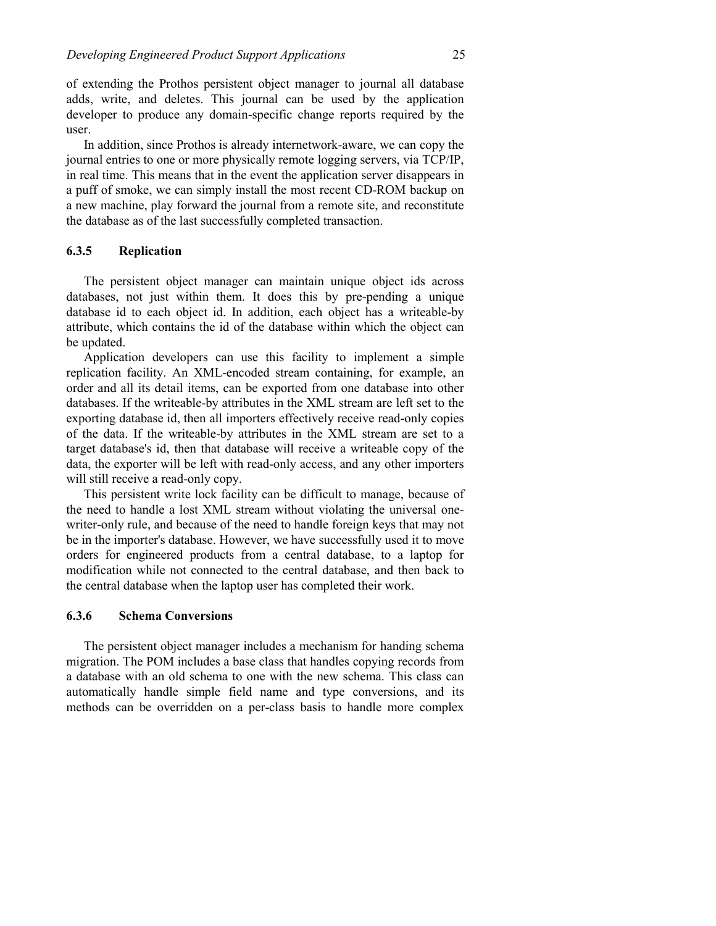of extending the Prothos persistent object manager to journal all database adds, write, and deletes. This journal can be used by the application developer to produce any domain-specific change reports required by the user.

In addition, since Prothos is already internetwork-aware, we can copy the journal entries to one or more physically remote logging servers, via TCP/IP, in real time. This means that in the event the application server disappears in a puff of smoke, we can simply install the most recent CD-ROM backup on a new machine, play forward the journal from a remote site, and reconstitute the database as of the last successfully completed transaction.

#### **6.3.5 Replication**

The persistent object manager can maintain unique object ids across databases, not just within them. It does this by pre-pending a unique database id to each object id. In addition, each object has a writeable-by attribute, which contains the id of the database within which the object can be updated.

Application developers can use this facility to implement a simple replication facility. An XML-encoded stream containing, for example, an order and all its detail items, can be exported from one database into other databases. If the writeable-by attributes in the XML stream are left set to the exporting database id, then all importers effectively receive read-only copies of the data. If the writeable-by attributes in the XML stream are set to a target database's id, then that database will receive a writeable copy of the data, the exporter will be left with read-only access, and any other importers will still receive a read-only copy.

This persistent write lock facility can be difficult to manage, because of the need to handle a lost XML stream without violating the universal onewriter-only rule, and because of the need to handle foreign keys that may not be in the importer's database. However, we have successfully used it to move orders for engineered products from a central database, to a laptop for modification while not connected to the central database, and then back to the central database when the laptop user has completed their work.

#### **6.3.6 Schema Conversions**

The persistent object manager includes a mechanism for handing schema migration. The POM includes a base class that handles copying records from a database with an old schema to one with the new schema. This class can automatically handle simple field name and type conversions, and its methods can be overridden on a per-class basis to handle more complex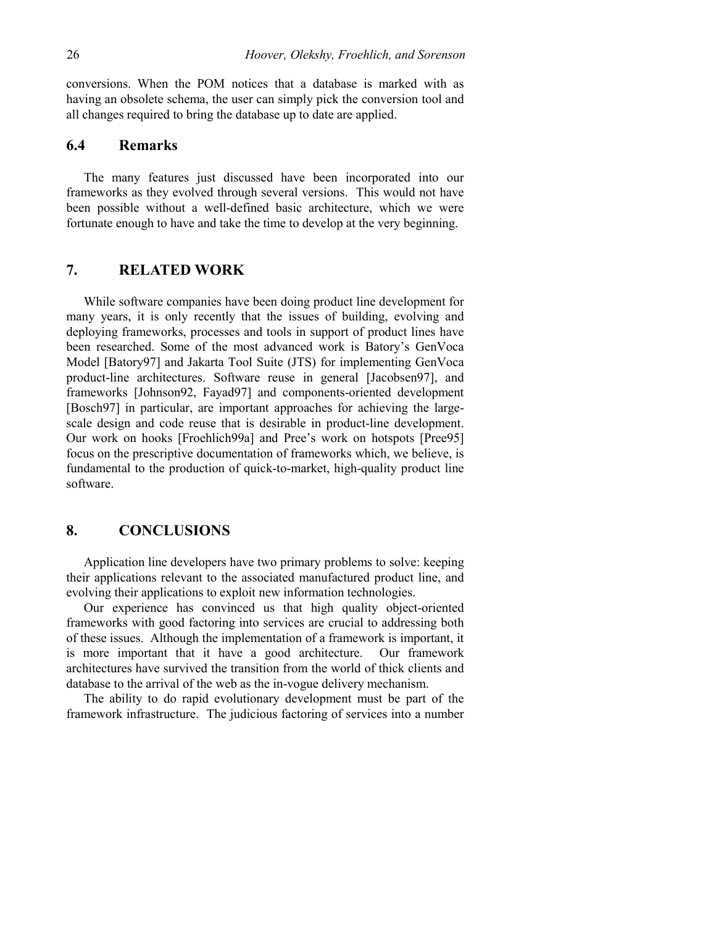conversions. When the POM notices that a database is marked with as having an obsolete schema, the user can simply pick the conversion tool and all changes required to bring the database up to date are applied.

#### **6.4 Remarks**

The many features just discussed have been incorporated into our frameworks as they evolved through several versions. This would not have been possible without a well-defined basic architecture, which we were fortunate enough to have and take the time to develop at the very beginning.

## **7. RELATED WORK**

While software companies have been doing product line development for many years, it is only recently that the issues of building, evolving and deploying frameworks, processes and tools in support of product lines have been researched. Some of the most advanced work is Batory's GenVoca Model [Batory97] and Jakarta Tool Suite (JTS) for implementing GenVoca product-line architectures. Software reuse in general [Jacobsen97], and frameworks [Johnson92, Fayad97] and components-oriented development [Bosch97] in particular, are important approaches for achieving the largescale design and code reuse that is desirable in product-line development. Our work on hooks [Froehlich99a] and Pree's work on hotspots [Pree95] focus on the prescriptive documentation of frameworks which, we believe, is fundamental to the production of quick-to-market, high-quality product line software.

## **8. CONCLUSIONS**

Application line developers have two primary problems to solve: keeping their applications relevant to the associated manufactured product line, and evolving their applications to exploit new information technologies.

Our experience has convinced us that high quality object-oriented frameworks with good factoring into services are crucial to addressing both of these issues. Although the implementation of a framework is important, it is more important that it have a good architecture. Our framework architectures have survived the transition from the world of thick clients and database to the arrival of the web as the in-vogue delivery mechanism.

The ability to do rapid evolutionary development must be part of the framework infrastructure. The judicious factoring of services into a number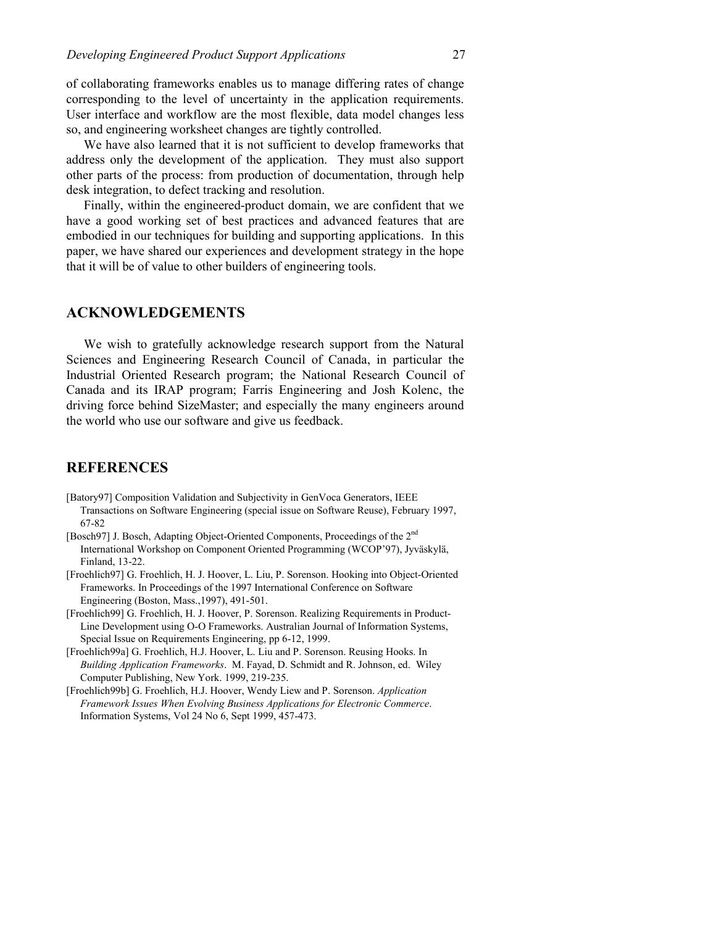of collaborating frameworks enables us to manage differing rates of change corresponding to the level of uncertainty in the application requirements. User interface and workflow are the most flexible, data model changes less so, and engineering worksheet changes are tightly controlled.

We have also learned that it is not sufficient to develop frameworks that address only the development of the application. They must also support other parts of the process: from production of documentation, through help desk integration, to defect tracking and resolution.

Finally, within the engineered-product domain, we are confident that we have a good working set of best practices and advanced features that are embodied in our techniques for building and supporting applications. In this paper, we have shared our experiences and development strategy in the hope that it will be of value to other builders of engineering tools.

#### **ACKNOWLEDGEMENTS**

We wish to gratefully acknowledge research support from the Natural Sciences and Engineering Research Council of Canada, in particular the Industrial Oriented Research program; the National Research Council of Canada and its IRAP program; Farris Engineering and Josh Kolenc, the driving force behind SizeMaster; and especially the many engineers around the world who use our software and give us feedback.

### **REFERENCES**

- [Batory97] Composition Validation and Subjectivity in GenVoca Generators, IEEE Transactions on Software Engineering (special issue on Software Reuse), February 1997, 67-82
- [Bosch97] J. Bosch, Adapting Object-Oriented Components, Proceedings of the 2<sup>nd</sup> International Workshop on Component Oriented Programming (WCOP'97), Jyväskylä, Finland, 13-22.
- [Froehlich97] G. Froehlich, H. J. Hoover, L. Liu, P. Sorenson. Hooking into Object-Oriented Frameworks. In Proceedings of the 1997 International Conference on Software Engineering (Boston, Mass.,1997), 491-501.
- [Froehlich99] G. Froehlich, H. J. Hoover, P. Sorenson. Realizing Requirements in Product-Line Development using O-O Frameworks. Australian Journal of Information Systems, Special Issue on Requirements Engineering, pp 6-12, 1999.
- [Froehlich99a] G. Froehlich, H.J. Hoover, L. Liu and P. Sorenson. Reusing Hooks. In *Building Application Frameworks*. M. Fayad, D. Schmidt and R. Johnson, ed. Wiley Computer Publishing, New York. 1999, 219-235.
- [Froehlich99b] G. Froehlich, H.J. Hoover, Wendy Liew and P. Sorenson. *Application Framework Issues When Evolving Business Applications for Electronic Commerce*. Information Systems, Vol 24 No 6, Sept 1999, 457-473.